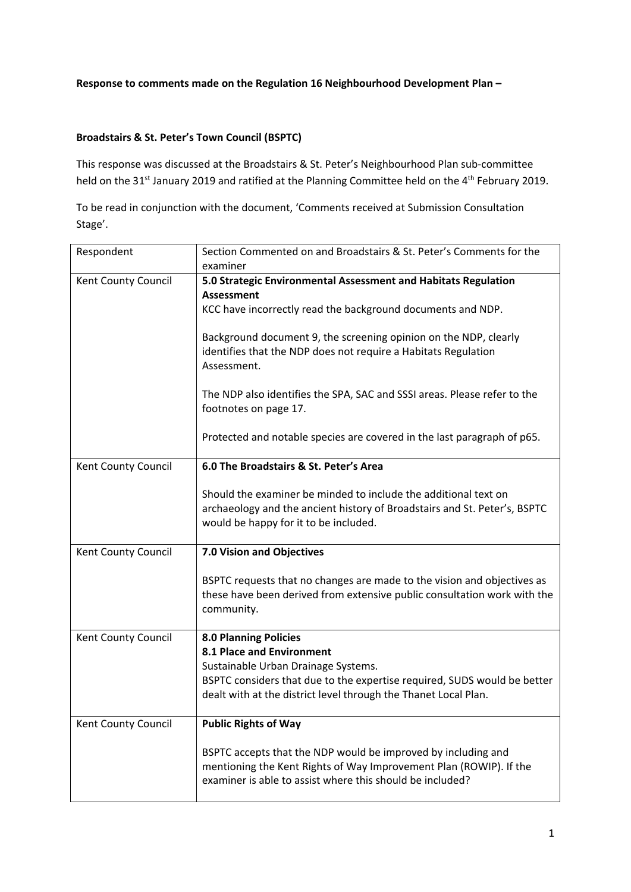## **Broadstairs & St. Peter's Town Council (BSPTC)**

This response was discussed at the Broadstairs & St. Peter's Neighbourhood Plan sub‐committee held on the 31<sup>st</sup> January 2019 and ratified at the Planning Committee held on the 4<sup>th</sup> February 2019.

To be read in conjunction with the document, 'Comments received at Submission Consultation Stage'.

| Respondent          | Section Commented on and Broadstairs & St. Peter's Comments for the<br>examiner                                    |
|---------------------|--------------------------------------------------------------------------------------------------------------------|
| Kent County Council | 5.0 Strategic Environmental Assessment and Habitats Regulation                                                     |
|                     | <b>Assessment</b>                                                                                                  |
|                     | KCC have incorrectly read the background documents and NDP.                                                        |
|                     |                                                                                                                    |
|                     | Background document 9, the screening opinion on the NDP, clearly                                                   |
|                     | identifies that the NDP does not require a Habitats Regulation                                                     |
|                     | Assessment.                                                                                                        |
|                     | The NDP also identifies the SPA, SAC and SSSI areas. Please refer to the                                           |
|                     | footnotes on page 17.                                                                                              |
|                     |                                                                                                                    |
|                     | Protected and notable species are covered in the last paragraph of p65.                                            |
|                     |                                                                                                                    |
| Kent County Council | 6.0 The Broadstairs & St. Peter's Area                                                                             |
|                     |                                                                                                                    |
|                     | Should the examiner be minded to include the additional text on                                                    |
|                     | archaeology and the ancient history of Broadstairs and St. Peter's, BSPTC<br>would be happy for it to be included. |
|                     |                                                                                                                    |
| Kent County Council | 7.0 Vision and Objectives                                                                                          |
|                     |                                                                                                                    |
|                     | BSPTC requests that no changes are made to the vision and objectives as                                            |
|                     | these have been derived from extensive public consultation work with the                                           |
|                     | community.                                                                                                         |
| Kent County Council | <b>8.0 Planning Policies</b>                                                                                       |
|                     | 8.1 Place and Environment                                                                                          |
|                     | Sustainable Urban Drainage Systems.                                                                                |
|                     | BSPTC considers that due to the expertise required, SUDS would be better                                           |
|                     | dealt with at the district level through the Thanet Local Plan.                                                    |
| Kent County Council | <b>Public Rights of Way</b>                                                                                        |
|                     |                                                                                                                    |
|                     | BSPTC accepts that the NDP would be improved by including and                                                      |
|                     | mentioning the Kent Rights of Way Improvement Plan (ROWIP). If the                                                 |
|                     | examiner is able to assist where this should be included?                                                          |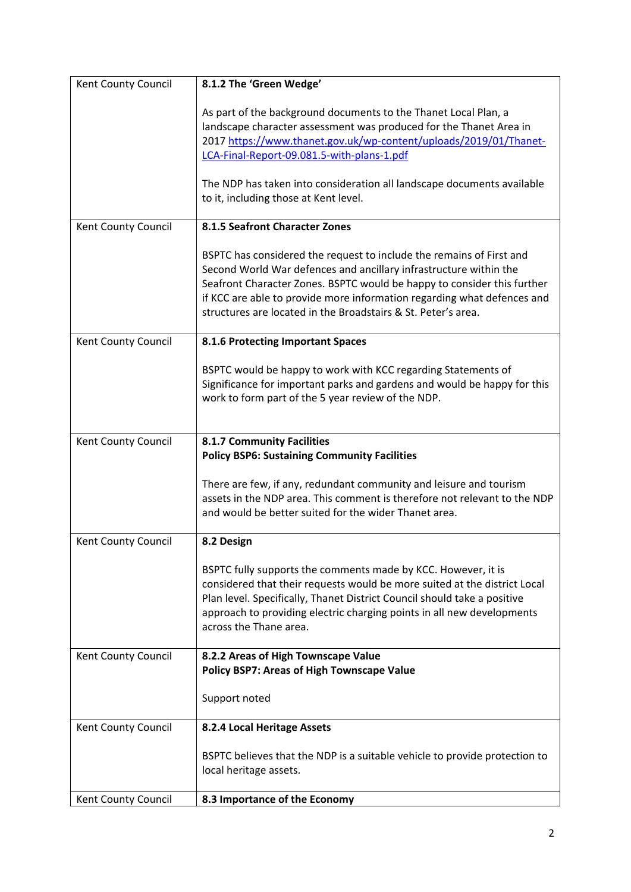| Kent County Council | 8.1.2 The 'Green Wedge'                                                                                                                                                                                                                                                                                                                                          |
|---------------------|------------------------------------------------------------------------------------------------------------------------------------------------------------------------------------------------------------------------------------------------------------------------------------------------------------------------------------------------------------------|
|                     | As part of the background documents to the Thanet Local Plan, a<br>landscape character assessment was produced for the Thanet Area in<br>2017 https://www.thanet.gov.uk/wp-content/uploads/2019/01/Thanet-<br>LCA-Final-Report-09.081.5-with-plans-1.pdf                                                                                                         |
|                     | The NDP has taken into consideration all landscape documents available<br>to it, including those at Kent level.                                                                                                                                                                                                                                                  |
| Kent County Council | 8.1.5 Seafront Character Zones                                                                                                                                                                                                                                                                                                                                   |
|                     | BSPTC has considered the request to include the remains of First and<br>Second World War defences and ancillary infrastructure within the<br>Seafront Character Zones. BSPTC would be happy to consider this further<br>if KCC are able to provide more information regarding what defences and<br>structures are located in the Broadstairs & St. Peter's area. |
| Kent County Council | 8.1.6 Protecting Important Spaces                                                                                                                                                                                                                                                                                                                                |
|                     | BSPTC would be happy to work with KCC regarding Statements of<br>Significance for important parks and gardens and would be happy for this<br>work to form part of the 5 year review of the NDP.                                                                                                                                                                  |
| Kent County Council | <b>8.1.7 Community Facilities</b>                                                                                                                                                                                                                                                                                                                                |
|                     | <b>Policy BSP6: Sustaining Community Facilities</b>                                                                                                                                                                                                                                                                                                              |
|                     | There are few, if any, redundant community and leisure and tourism<br>assets in the NDP area. This comment is therefore not relevant to the NDP<br>and would be better suited for the wider Thanet area.                                                                                                                                                         |
| Kent County Council | 8.2 Design                                                                                                                                                                                                                                                                                                                                                       |
|                     | BSPTC fully supports the comments made by KCC. However, it is<br>considered that their requests would be more suited at the district Local<br>Plan level. Specifically, Thanet District Council should take a positive<br>approach to providing electric charging points in all new developments<br>across the Thane area.                                       |
| Kent County Council | 8.2.2 Areas of High Townscape Value<br><b>Policy BSP7: Areas of High Townscape Value</b>                                                                                                                                                                                                                                                                         |
|                     | Support noted                                                                                                                                                                                                                                                                                                                                                    |
| Kent County Council | 8.2.4 Local Heritage Assets                                                                                                                                                                                                                                                                                                                                      |
|                     | BSPTC believes that the NDP is a suitable vehicle to provide protection to<br>local heritage assets.                                                                                                                                                                                                                                                             |
| Kent County Council | 8.3 Importance of the Economy                                                                                                                                                                                                                                                                                                                                    |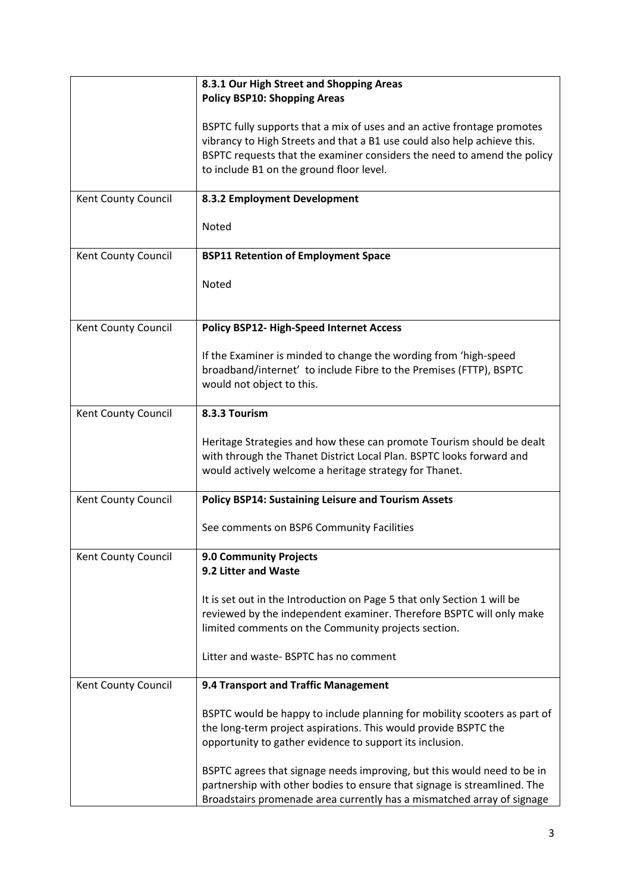|                     | 8.3.1 Our High Street and Shopping Areas<br><b>Policy BSP10: Shopping Areas</b>                                                                                                                                                                                            |
|---------------------|----------------------------------------------------------------------------------------------------------------------------------------------------------------------------------------------------------------------------------------------------------------------------|
|                     | BSPTC fully supports that a mix of uses and an active frontage promotes<br>vibrancy to High Streets and that a B1 use could also help achieve this.<br>BSPTC requests that the examiner considers the need to amend the policy<br>to include B1 on the ground floor level. |
| Kent County Council | 8.3.2 Employment Development                                                                                                                                                                                                                                               |
|                     | Noted                                                                                                                                                                                                                                                                      |
| Kent County Council | <b>BSP11 Retention of Employment Space</b>                                                                                                                                                                                                                                 |
|                     | Noted                                                                                                                                                                                                                                                                      |
| Kent County Council | Policy BSP12- High-Speed Internet Access                                                                                                                                                                                                                                   |
|                     | If the Examiner is minded to change the wording from 'high-speed<br>broadband/internet' to include Fibre to the Premises (FTTP), BSPTC<br>would not object to this.                                                                                                        |
| Kent County Council | 8.3.3 Tourism                                                                                                                                                                                                                                                              |
|                     | Heritage Strategies and how these can promote Tourism should be dealt<br>with through the Thanet District Local Plan. BSPTC looks forward and<br>would actively welcome a heritage strategy for Thanet.                                                                    |
| Kent County Council | <b>Policy BSP14: Sustaining Leisure and Tourism Assets</b>                                                                                                                                                                                                                 |
|                     | See comments on BSP6 Community Facilities                                                                                                                                                                                                                                  |
| Kent County Council | 9.0 Community Projects<br>9.2 Litter and Waste                                                                                                                                                                                                                             |
|                     | It is set out in the Introduction on Page 5 that only Section 1 will be<br>reviewed by the independent examiner. Therefore BSPTC will only make<br>limited comments on the Community projects section.                                                                     |
|                     | Litter and waste- BSPTC has no comment                                                                                                                                                                                                                                     |
| Kent County Council | 9.4 Transport and Traffic Management                                                                                                                                                                                                                                       |
|                     | BSPTC would be happy to include planning for mobility scooters as part of<br>the long-term project aspirations. This would provide BSPTC the<br>opportunity to gather evidence to support its inclusion.                                                                   |
|                     | BSPTC agrees that signage needs improving, but this would need to be in<br>partnership with other bodies to ensure that signage is streamlined. The<br>Broadstairs promenade area currently has a mismatched array of signage                                              |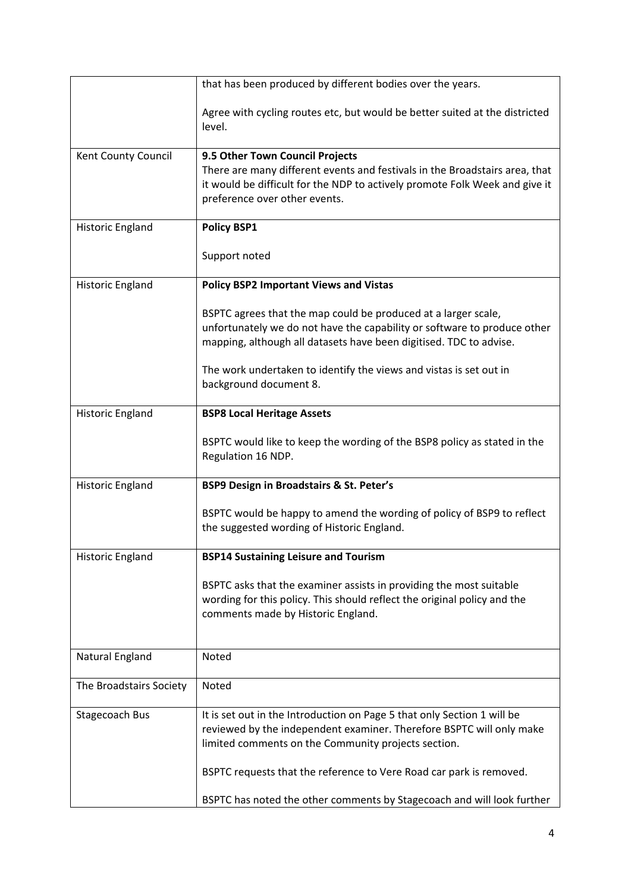|                         | that has been produced by different bodies over the years.                                                                                                 |
|-------------------------|------------------------------------------------------------------------------------------------------------------------------------------------------------|
|                         | Agree with cycling routes etc, but would be better suited at the districted<br>level.                                                                      |
| Kent County Council     | 9.5 Other Town Council Projects                                                                                                                            |
|                         | There are many different events and festivals in the Broadstairs area, that<br>it would be difficult for the NDP to actively promote Folk Week and give it |
|                         | preference over other events.                                                                                                                              |
|                         |                                                                                                                                                            |
| Historic England        | <b>Policy BSP1</b>                                                                                                                                         |
|                         | Support noted                                                                                                                                              |
| Historic England        | <b>Policy BSP2 Important Views and Vistas</b>                                                                                                              |
|                         | BSPTC agrees that the map could be produced at a larger scale,                                                                                             |
|                         | unfortunately we do not have the capability or software to produce other                                                                                   |
|                         | mapping, although all datasets have been digitised. TDC to advise.                                                                                         |
|                         | The work undertaken to identify the views and vistas is set out in                                                                                         |
|                         | background document 8.                                                                                                                                     |
| <b>Historic England</b> | <b>BSP8 Local Heritage Assets</b>                                                                                                                          |
|                         |                                                                                                                                                            |
|                         | BSPTC would like to keep the wording of the BSP8 policy as stated in the<br>Regulation 16 NDP.                                                             |
|                         |                                                                                                                                                            |
| Historic England        | BSP9 Design in Broadstairs & St. Peter's                                                                                                                   |
|                         | BSPTC would be happy to amend the wording of policy of BSP9 to reflect                                                                                     |
|                         | the suggested wording of Historic England.                                                                                                                 |
| Historic England        | <b>BSP14 Sustaining Leisure and Tourism</b>                                                                                                                |
|                         | BSPTC asks that the examiner assists in providing the most suitable                                                                                        |
|                         | wording for this policy. This should reflect the original policy and the                                                                                   |
|                         | comments made by Historic England.                                                                                                                         |
|                         |                                                                                                                                                            |
| Natural England         | <b>Noted</b>                                                                                                                                               |
| The Broadstairs Society | Noted                                                                                                                                                      |
| Stagecoach Bus          | It is set out in the Introduction on Page 5 that only Section 1 will be                                                                                    |
|                         | reviewed by the independent examiner. Therefore BSPTC will only make<br>limited comments on the Community projects section.                                |
|                         | BSPTC requests that the reference to Vere Road car park is removed.                                                                                        |
|                         | BSPTC has noted the other comments by Stagecoach and will look further                                                                                     |